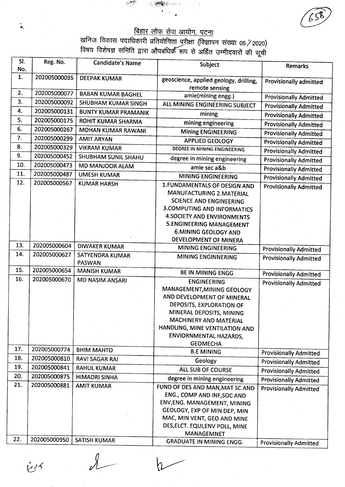## बिहार लोक सेवा आयोग, पटना

खनिज विकास पदाधिकारी प्रतियोगिता परीक्षा (विज्ञापन संख्या 05 / 2020)<br>विषय विशेषज्ञ समिति द्वारा औपबंधिर्क रूप से अर्हित उम्मीदवारों की सूची

| SI. | Reg. No.                     | <b>Candidate's Name</b>     |                                           |                               |
|-----|------------------------------|-----------------------------|-------------------------------------------|-------------------------------|
| No. |                              |                             | Subject                                   | <b>Remarks</b>                |
| 1.  | 202005000035                 | <b>DEEPAK KUMAR</b>         | geoscience, applied geology, drilling,    | <b>Provisionally admitted</b> |
|     |                              |                             | remote sensing                            |                               |
| 2.  | 202005000077                 | <b>BABAN KUMAR BAGHEL</b>   | amie(mining engg.)                        | <b>Provisionally Admitted</b> |
| 3.  | 202005000092                 | SHUBHAM KUMAR SINGH         | ALL MINING ENGINEERING SUBJECT            | <b>Provisionally Admitted</b> |
| 4.  | 202005000131                 | <b>BUNTY KUMAR PRAMANIK</b> | mining                                    | <b>Provisionally Admitted</b> |
| 5.  | 202005000175                 | ROHIT KUMAR SHARMA          | mining engineering                        | <b>Provisionally Admitted</b> |
| 6.  | 202005000267                 | <b>MOHAN KUMAR RAWANI</b>   | <b>Mining ENGINEERING</b>                 | <b>Provisionally Admitted</b> |
| 7.  | 202005000299                 | <b>AMIT ARYAN</b>           | <b>APPLIED GEOLOGY</b>                    | <b>Provisionally Admitted</b> |
| 8.  | 202005000329                 | <b>VIKRAM KUMAR</b>         | DEGREE IN MINING ENGINEERING              | <b>Provisionally Admitted</b> |
| 9.  | 202005000452                 | SHUBHAM SUNIL SHAHU         | degree in mining engineering              | <b>Provisionally Admitted</b> |
| 10. | 202005000473                 | <b>MD MANJOOR ALAM</b>      | amie sec a&b                              | <b>Provisionally Admitted</b> |
| 11. | 202005000487                 | <b>UMESH KUMAR</b>          | <b>MINING ENGINEERING</b>                 | <b>Provisionally Admitted</b> |
| 12. | 202005000567                 | <b>KUMAR HARSH</b>          | 1. FUNDAMENTALS OF DESIGN AND             | <b>Provisionally Admitted</b> |
|     |                              |                             | MANUFACTURING 2. MATERIAL                 |                               |
|     |                              |                             | <b>SCIENCE AND ENGINEERING</b>            |                               |
|     |                              |                             | <b>3. COMPUTING AND INFORMATICS</b>       |                               |
|     |                              |                             | <b>4.SOCIETY AND ENVIRONMENTS</b>         |                               |
|     |                              |                             | <b>5.ENGINEERING MANAGEMENT</b>           |                               |
|     |                              |                             | <b>6.MINING GEOLOGY AND</b>               |                               |
|     |                              |                             | DEVELOPMENT OF MINERA                     |                               |
| 13. | 202005000604                 | <b>DIWAKER KUMAR</b>        | <b>MINING ENGINEERING</b>                 | <b>Provisionally Admitted</b> |
| 14. | 202005000627                 | <b>SATYENDRA KUMAR</b>      | MINING ENGINNERING                        | <b>Provisionally Admitted</b> |
| 15. |                              | <b>PASWAN</b>               |                                           |                               |
| 16. | 202005000654<br>202005000670 | <b>MANISH KUMAR</b>         | <b>BE IN MINING ENGG</b>                  | <b>Provisionally Admitted</b> |
|     |                              | <b>MD NASIM ANSARI</b>      | <b>ENGINEERING</b>                        | <b>Provisionally Admitted</b> |
|     |                              |                             | MANAGEMENT, MINING GEOLOGY                |                               |
|     |                              |                             | AND DEVELOPMENT OF MINERAL                |                               |
|     |                              |                             | DEPOSITS, EXPLORATION OF                  |                               |
|     |                              |                             | MINERAL DEPOSITS, MINING                  |                               |
|     |                              |                             | MACHINERY AND MATERIAL                    |                               |
|     |                              |                             | HANDLING, MINE VENTILATION AND            |                               |
|     |                              |                             | ENVIORNMENTAL HAZARDS,<br><b>GEOMECHA</b> |                               |
| 17. | 202005000774                 | <b>BHIM MAHTO</b>           | <b>B.E MINING</b>                         | <b>Provisionally Admitted</b> |
| 18. | 202005000810                 | <b>RAVI SAGAR RAI</b>       | Geology                                   | <b>Provisionally Admitted</b> |
| 19. | 202005000841                 | <b>RAHUL KUMAR</b>          | <b>ALL SUB OF COURSE</b>                  | <b>Provisionally Admitted</b> |
| 20. | 202005000875                 | <b>HIMADRI SINHA</b>        | degree in mining engineering              | <b>Provisionally Admitted</b> |
| 21. | 202005000881                 | <b>AMIT KUMAR</b>           | FUND OF DES AND MAN, MAT SC AND           | <b>Provisionally Admitted</b> |
|     |                              |                             | ENG., COMP AND INF, SOC AND               |                               |
|     |                              |                             | ENV, ENG. MANAGEMENT, MINING              |                               |
|     |                              |                             | GEOLOGY, EXP OF MIN DEP, MIN              |                               |
|     |                              |                             | MAC, MIN VENT, GEO AND MINE               |                               |
|     |                              |                             | DES, ELCT. EQUI, ENV POLL, MINE           |                               |
|     |                              |                             | <b>MANAGEMNET</b>                         |                               |
| 22. | 202005000950                 | SATISH KUMAR                | <b>GRADUATE IN MINING ENGG.</b>           | <b>Provisionally Admitted</b> |

is35

্রি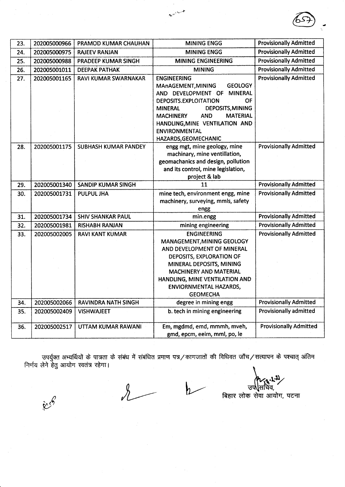| 23. | 202005000966 | PRAMOD KUMAR CHAUHAN        | <b>MINING ENGG</b>                                     | <b>Provisionally Admitted</b> |
|-----|--------------|-----------------------------|--------------------------------------------------------|-------------------------------|
| 24. | 202005000975 | <b>RAJEEV RANJAN</b>        | <b>MINING ENGG</b>                                     | <b>Provisionally Admitted</b> |
| 25. | 202005000988 | PRADEEP KUMAR SINGH         | <b>MINING ENGINEERING</b>                              | <b>Provisionally Admitted</b> |
| 26. | 202005001011 | <b>DEEPAK PATHAK</b>        | <b>MINING</b>                                          | <b>Provisionally Admitted</b> |
| 27. | 202005001165 | RAVI KUMAR SWARNAKAR        | <b>ENGINEERING</b>                                     | <b>Provisionally Admitted</b> |
|     |              |                             | <b>GEOLOGY</b><br>MAnAGEMENT, MINING                   |                               |
|     |              |                             | AND DEVELOPMENT OF<br><b>MINERAL</b>                   |                               |
|     |              |                             | DEPOSITS.EXPLOITATION<br>ΟF                            |                               |
|     |              |                             | DEPOSITS, MINING<br><b>MINERAL</b>                     |                               |
|     |              |                             | <b>AND</b><br><b>MATERIAL</b><br><b>MACHINERY</b>      |                               |
|     |              |                             | HANDLING, MINE VENTILATION AND<br><b>ENVIRONMENTAL</b> |                               |
|     |              |                             | HAZARDS, GEOMECHANIC                                   |                               |
| 28. | 202005001175 | <b>SUBHASH KUMAR PANDEY</b> | engg mgt, mine geology, mine                           | <b>Provisionally Admitted</b> |
|     |              |                             | machinary, mine ventillation,                          |                               |
|     |              |                             | geomachanics and design, pollution                     |                               |
|     |              |                             | and its control, mine legislation,                     |                               |
|     |              |                             | project & lab                                          |                               |
| 29. | 202005001340 | <b>SANDIP KUMAR SINGH</b>   | 11                                                     | <b>Provisionally Admitted</b> |
| 30. | 202005001731 | PULPUL JHA                  | mine tech, environment engg, mine                      | <b>Provisionally Admitted</b> |
|     |              |                             | machinery, surveying, mmls, safety                     |                               |
|     |              |                             | engg                                                   |                               |
| 31. | 202005001734 | <b>SHIV SHANKAR PAUL</b>    | min.engg                                               | <b>Provisionally Admitted</b> |
| 32. | 202005001981 | <b>RISHABH RANJAN</b>       | mining engineering                                     | <b>Provisionally Admitted</b> |
| 33. | 202005002005 | <b>RAVI KANT KUMAR</b>      | <b>ENGINEERING</b>                                     | <b>Provisionally Admitted</b> |
|     |              |                             | MANAGEMENT, MINING GEOLOGY                             |                               |
|     |              |                             | AND DEVELOPMENT OF MINERAL                             |                               |
|     |              |                             | DEPOSITS, EXPLORATION OF<br>MINERAL DEPOSITS, MINING   |                               |
|     |              |                             | <b>MACHINERY AND MATERIAL</b>                          |                               |
|     |              |                             | HANDLING, MINE VENTILATION AND                         |                               |
|     |              |                             | ENVIORNMENTAL HAZARDS,                                 |                               |
|     |              |                             | <b>GEOMECHA</b>                                        |                               |
| 34. | 202005002066 | RAVINDRA NATH SINGH         | degree in mining engg                                  | <b>Provisionally Admitted</b> |
| 35. | 202005002409 | <b>VISHWAJEET</b>           | b. tech in mining engineering                          | Provisionally admitted        |
|     |              |                             |                                                        |                               |
| 36. | 202005002517 | UTTAM KUMAR RAWANI          | Em, mgdmd, emd, mmmh, mveh,                            | <b>Provisionally Admitted</b> |
|     |              |                             | gmd, epcm, eeim, mml, po, le                           |                               |

उपर्युक्त<br>निर्णय लेने हे<mark>तु</mark> अभ्यर्थियों के पात्रता के संबंध में संबंधित प्रमाण पत्र/कागजातों की विधिवत जाँच/सत्यापन के पश्चात् अंतिम आयोग स्वतंत्र रहेगा।

 $\mathbf{h}$ 

.<br>فلمبر<br>ماريخ

उप\सचिव,<br>उप\सचिव,<br>क्र सेव्ग ~

बिहार लोक सेवा आयोग, पटना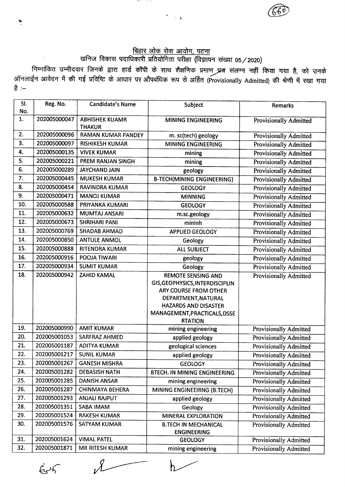## <u>बिहार लोक सेवा आयोग, पटना</u>

 $\rightarrow$   $\infty$ 

@

Y

 $65$ 

## खनिज विकास पदाधिकारी प्रतियोगिता परीक्षा (विज्ञापन संख्या 05/2020)

निम्नांकित उम्मीदवार जिनके द्वारा हार्ड कॉपी के साथ शैक्षणिक प्रमाण प्रत्र संलग्न नहीं किया गया है, को उनके ऑनलाईन आवेदन में की गई प्रविष्टि के आधार पर औपबंधिक रूप से अर्हित (Provisionally Admitted) की श्रेणी में रखा गया<br>है :--

| SI. | Reg. No.     | <b>Candidate's Name</b>                | Subject                                        | <b>Remarks</b>                |
|-----|--------------|----------------------------------------|------------------------------------------------|-------------------------------|
| No. |              |                                        |                                                |                               |
| 1.  | 202005000047 | <b>ABHISHEK KUAMR</b><br><b>THAKUR</b> | MINING ENGINEERING                             | Provisionally Admitted        |
| 2.  | 202005000096 | <b>RAMAN KUMAR PANDEY</b>              | m. sc(tech) geology                            | <b>Provisionally Admitted</b> |
| 3.  | 202005000097 | <b>RISHIKESH KUMAR</b>                 | <b>MINING ENGINEERING</b>                      | <b>Provisionally Admitted</b> |
| 4.  | 202005000135 | <b>VIVEK KUMAR</b>                     | mining                                         | <b>Provisionally Admitted</b> |
| 5.  | 202005000221 | PREM RANJAN SINGH                      | mining                                         | <b>Provisionally Admitted</b> |
| 6.  | 202005000289 | <b>JAYCHAND JAIN</b>                   | geology                                        | <b>Provisionally Admitted</b> |
| 7.  | 202005000445 | <b>MUKESH KUMAR</b>                    | <b>B-TECH(MINING ENGINEERING)</b>              | <b>Provisionally Admitted</b> |
| 8.  | 202005000454 | <b>RAVINDRA KUMAR</b>                  | <b>GEOLOGY</b>                                 | <b>Provisionally Admitted</b> |
| 9.  | 202005000471 | <b>MANOJ KUMAR</b>                     | <b>MINNING</b>                                 | <b>Provisionally Admitted</b> |
| 10. | 202005000588 | PRIYANKA KUMARI                        | <b>GEOLOGY</b>                                 | <b>Provisionally Admitted</b> |
| 11. | 202005000632 | <b>MUMTAJ ANSARI</b>                   | m.sc.geology                                   | <b>Provisionally Admitted</b> |
| 12. | 202005000673 | <b>SHRIHARI PANI</b>                   | mininh                                         | <b>Provisionally Admitted</b> |
| 13. | 202005000769 | <b>SHADAB AHMAD</b>                    | <b>APPLIED GEOLOGY</b>                         | <b>Provisionally Admitted</b> |
| 14. | 202005000850 | <b>ANTULE ANMOL</b>                    | Geology                                        | <b>Provisionally Admitted</b> |
| 15. | 202005000888 | RITENDRA KUMAR                         | <b>ALL SUBJECT</b>                             | <b>Provisionally Admitted</b> |
| 16. | 202005000916 | POOJA TIWARI                           | geology                                        | <b>Provisionally Admitted</b> |
| 17. | 202005000934 | <b>SUMIT KUMAR</b>                     | Geology                                        | Provisionally Admitted        |
| 18. | 202005000942 | <b>ZAHID KAMAL</b>                     | <b>REMOTE SENSING AND</b>                      | <b>Provisionally Admitted</b> |
|     |              |                                        | GIS, GEOPHYSICS, INTERDISCIPLIN                |                               |
|     |              |                                        | ARY COURSE FROM OTHER                          |                               |
|     |              |                                        | DEPARTMENT, NATURAL                            |                               |
|     |              |                                        | <b>HAZARDS AND DISASTER</b>                    |                               |
|     |              |                                        | MANAGEMENT, PRACTICALS, DSSE<br><b>RTATION</b> |                               |
| 19. | 202005000990 | <b>AMIT KUMAR</b>                      | mining engineering                             | <b>Provisionally Admitted</b> |
| 20. | 202005001053 | SARFRAZ AHMED                          | applied geology                                | <b>Provisionally Admitted</b> |
| 21. | 202005001187 | <b>ADITYA KUMAR</b>                    | geological sciences                            | <b>Provisionally Admitted</b> |
| 22. | 202005001217 | <b>SUNIL KUMAR</b>                     | applied geology                                | Provisionally Admitted        |
| 23. | 202005001267 | <b>GANESH MISHRA</b>                   | <b>GEOLOGY</b>                                 | Provisionally Admitted        |
| 24. | 202005001282 | <b>DEBASISH NATH</b>                   | <b>BTECH. IN MINING ENGINEERING</b>            | <b>Provisionally Admitted</b> |
| 25. | 202005001285 | <b>DANISH ANSAR</b>                    | mining engineering                             | <b>Provisionally Admitted</b> |
| 26. | 202005001287 | <b>CHINMAYA BEHERA</b>                 | MINING ENGINEEIRNG (B.TECH)                    | <b>Provisionally Admitted</b> |
| 27. | 202005001293 | <b>ANJALI RAJPUT</b>                   | applied geology                                | <b>Provisionally Admitted</b> |
| 28. | 202005001351 | SABA IMAM                              | Geology                                        | <b>Provisionally Admitted</b> |
| 29. | 202005001524 | <b>RAKESH KUMAR</b>                    | <b>MINERAL EXPLORATION</b>                     | <b>Provisionally Admitted</b> |
| 30. | 202005001576 | <b>SATYAM KUMAR</b>                    | <b>B.TECH IN MECHANICAL</b>                    | <b>Provisionally Admitted</b> |
|     |              |                                        | <b>ENGINEERING</b>                             |                               |
| 31. | 202005001624 | <b>VIMAL PATEL</b>                     | <b>GEOLOGY</b>                                 | <b>Provisionally Admitted</b> |
| 32. | 202005001871 | <b>MR RITESH KUMAR</b>                 | mining engineering                             | <b>Provisionally Admitted</b> |